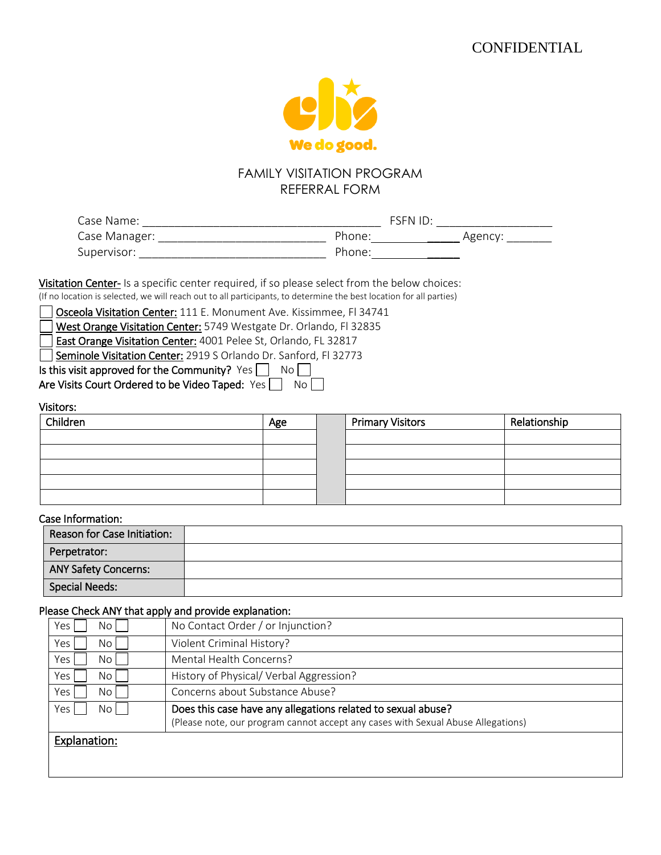

### FAMILY VISITATION PROGRAM REFERRAL FORM

| Case Name:    | FSPNID             |        |
|---------------|--------------------|--------|
| Case Manager: | Phone <sup>.</sup> | Agency |
| Supervisor:   | Phone <sup>.</sup> |        |

Visitation Center- Is a specific center required, if so please select from the below choices: (If no location is selected, we will reach out to all participants, to determine the best location for all parties)

Osceola Visitation Center: 111 E. Monument Ave. Kissimmee, Fl 34741

West Orange Visitation Center: 5749 Westgate Dr. Orlando, Fl 32835

East Orange Visitation Center: 4001 Pelee St, Orlando, FL 32817

Seminole Visitation Center: 2919 S Orlando Dr. Sanford, FI 32773

Is this visit approved for the Community? Yes  $\Box$  No  $\Box$ 

Are Visits Court Ordered to be Video Taped: Yes  $\Box$  No  $\Box$ 

#### Visitors:

| Children | Age | <b>Primary Visitors</b> | Relationship |
|----------|-----|-------------------------|--------------|
|          |     |                         |              |
|          |     |                         |              |
|          |     |                         |              |
|          |     |                         |              |
|          |     |                         |              |

#### Case Information:

| Reason for Case Initiation: |  |
|-----------------------------|--|
| Perpetrator:                |  |
| <b>ANY Safety Concerns:</b> |  |
| Special Needs:              |  |

#### Please Check ANY that apply and provide explanation:

| Yes<br>No l                         | No Contact Order / or Injunction?                                                |
|-------------------------------------|----------------------------------------------------------------------------------|
| Yes,<br>No <sub>1</sub>             | Violent Criminal History?                                                        |
| Yes,<br>No l                        | Mental Health Concerns?                                                          |
| Yes <sub>1</sub><br>No l            | History of Physical/ Verbal Aggression?                                          |
| Yes <sub>1</sub><br>No <sub>1</sub> | Concerns about Substance Abuse?                                                  |
| Yes<br>No l                         | Does this case have any allegations related to sexual abuse?                     |
|                                     | (Please note, our program cannot accept any cases with Sexual Abuse Allegations) |
| Explanation:                        |                                                                                  |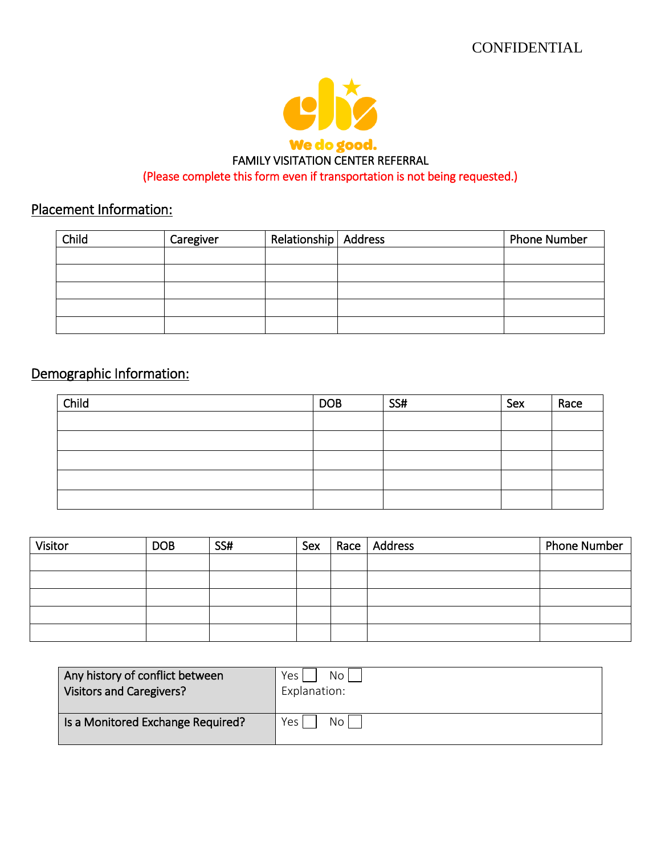

## Placement Information:

| Child | Caregiver | Relationship   Address | <b>Phone Number</b> |
|-------|-----------|------------------------|---------------------|
|       |           |                        |                     |
|       |           |                        |                     |
|       |           |                        |                     |
|       |           |                        |                     |
|       |           |                        |                     |

# Demographic Information:

| Child | <b>DOB</b> | SS# | Sex | Race |
|-------|------------|-----|-----|------|
|       |            |     |     |      |
|       |            |     |     |      |
|       |            |     |     |      |
|       |            |     |     |      |
|       |            |     |     |      |

| Visitor | <b>DOB</b> | SS# | Sex | Race   Address | <b>Phone Number</b> |
|---------|------------|-----|-----|----------------|---------------------|
|         |            |     |     |                |                     |
|         |            |     |     |                |                     |
|         |            |     |     |                |                     |
|         |            |     |     |                |                     |
|         |            |     |     |                |                     |

| Any history of conflict between<br><b>Visitors and Caregivers?</b> | No <sub>1</sub><br>Yes J<br>Explanation: |
|--------------------------------------------------------------------|------------------------------------------|
| Is a Monitored Exchange Required?                                  | No<br>Yes l                              |